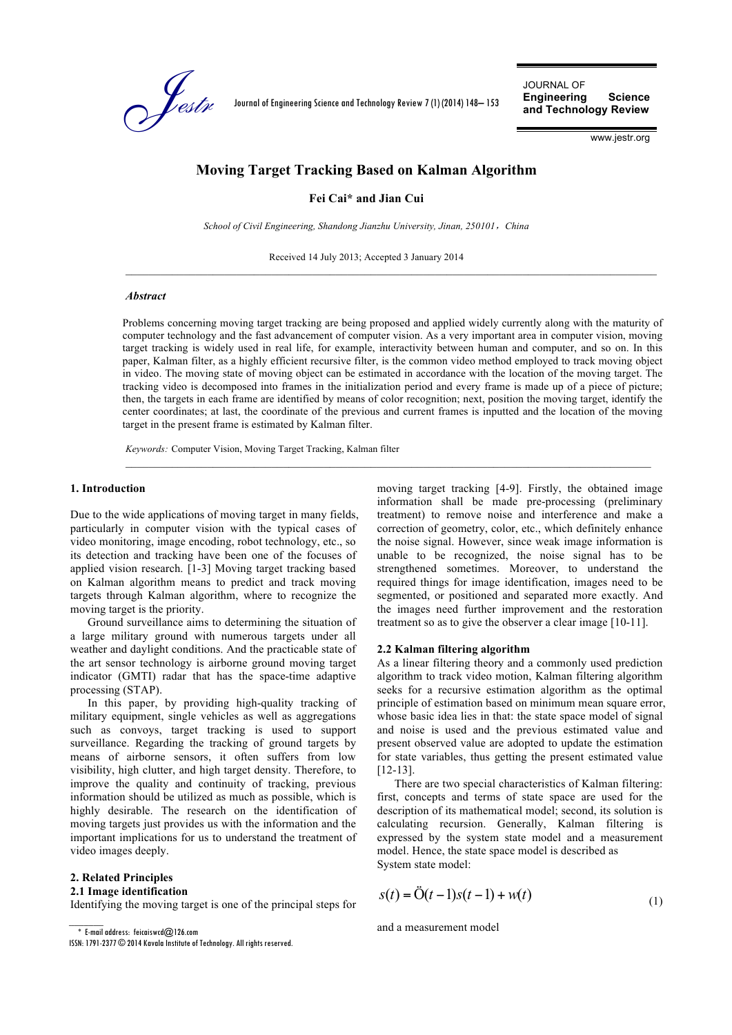

Journal of Engineering Science and Technology Review 7 (1) (2014) 148– 153

JOURNAL OF **Engineering Science and Technology Review**

www.jestr.org

# **Moving Target Tracking Based on Kalman Algorithm**

**Fei Cai\* and Jian Cui**

*School of Civil Engineering, Shandong Jianzhu University, Jinan, 250101*,*China*

Received 14 July 2013; Accepted 3 January 2014

#### *Abstract*

Problems concerning moving target tracking are being proposed and applied widely currently along with the maturity of computer technology and the fast advancement of computer vision. As a very important area in computer vision, moving target tracking is widely used in real life, for example, interactivity between human and computer, and so on. In this paper, Kalman filter, as a highly efficient recursive filter, is the common video method employed to track moving object in video. The moving state of moving object can be estimated in accordance with the location of the moving target. The tracking video is decomposed into frames in the initialization period and every frame is made up of a piece of picture; then, the targets in each frame are identified by means of color recognition; next, position the moving target, identify the center coordinates; at last, the coordinate of the previous and current frames is inputted and the location of the moving target in the present frame is estimated by Kalman filter.

 $\mathcal{L}_\mathcal{L}$ 

*Keywords:* Computer Vision, Moving Target Tracking, Kalman filter

#### **1. Introduction**

Due to the wide applications of moving target in many fields, particularly in computer vision with the typical cases of video monitoring, image encoding, robot technology, etc., so its detection and tracking have been one of the focuses of applied vision research. [1-3] Moving target tracking based on Kalman algorithm means to predict and track moving targets through Kalman algorithm, where to recognize the moving target is the priority.

Ground surveillance aims to determining the situation of a large military ground with numerous targets under all weather and daylight conditions. And the practicable state of the art sensor technology is airborne ground moving target indicator (GMTI) radar that has the space-time adaptive processing (STAP).

In this paper, by providing high-quality tracking of military equipment, single vehicles as well as aggregations such as convoys, target tracking is used to support surveillance. Regarding the tracking of ground targets by means of airborne sensors, it often suffers from low visibility, high clutter, and high target density. Therefore, to improve the quality and continuity of tracking, previous information should be utilized as much as possible, which is highly desirable. The research on the identification of moving targets just provides us with the information and the important implications for us to understand the treatment of video images deeply.

### **2. Related Principles**

#### **2.1 Image identification**

Identifying the moving target is one of the principal steps for

 $\overline{\text{*}}$  E-mail address: feicaiswcd $@$ 126.com

moving target tracking [4-9]. Firstly, the obtained image information shall be made pre-processing (preliminary treatment) to remove noise and interference and make a correction of geometry, color, etc., which definitely enhance the noise signal. However, since weak image information is unable to be recognized, the noise signal has to be strengthened sometimes. Moreover, to understand the required things for image identification, images need to be segmented, or positioned and separated more exactly. And the images need further improvement and the restoration treatment so as to give the observer a clear image [10-11].

## **2.2 Kalman filtering algorithm**

As a linear filtering theory and a commonly used prediction algorithm to track video motion, Kalman filtering algorithm seeks for a recursive estimation algorithm as the optimal principle of estimation based on minimum mean square error, whose basic idea lies in that: the state space model of signal and noise is used and the previous estimated value and present observed value are adopted to update the estimation for state variables, thus getting the present estimated value [12-13].

There are two special characteristics of Kalman filtering: first, concepts and terms of state space are used for the description of its mathematical model; second, its solution is calculating recursion. Generally, Kalman filtering is expressed by the system state model and a measurement model. Hence, the state space model is described as System state model:

$$
s(t) = \ddot{O}(t-1)s(t-1) + w(t)
$$
\n(1)

and a measurement model

ISSN: 1791-2377 © 2014 Kavala Institute of Technology. All rights reserved.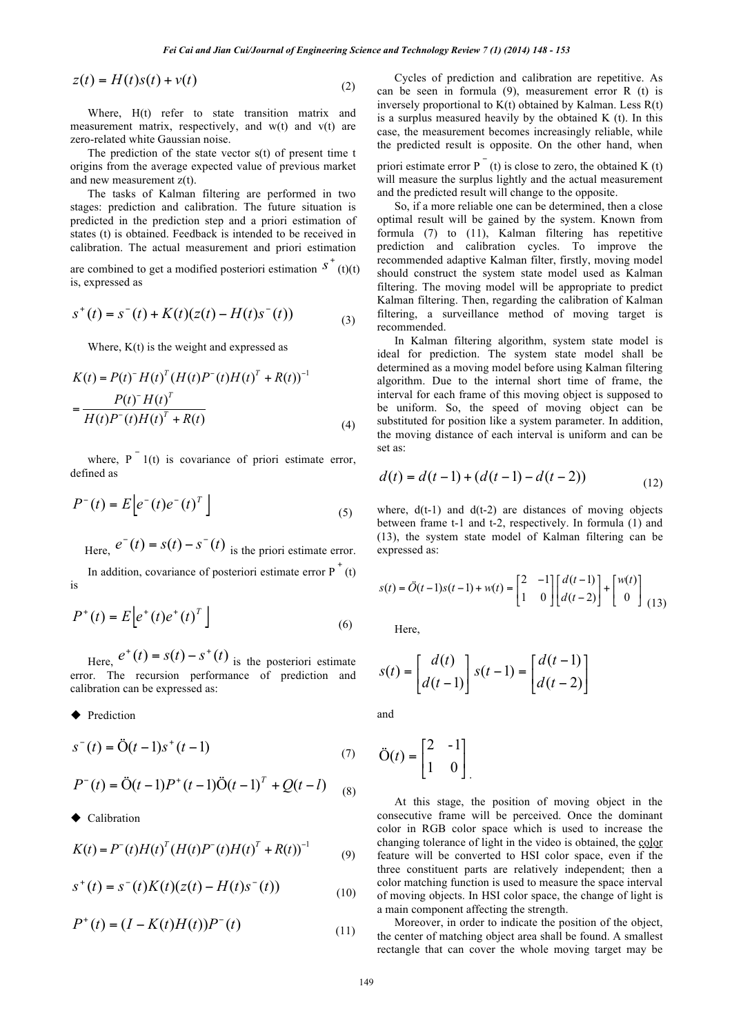$$
z(t) = H(t)s(t) + v(t)
$$
\n<sup>(2)</sup>

Where, H(t) refer to state transition matrix and measurement matrix, respectively, and w(t) and v(t) are zero-related white Gaussian noise.

The prediction of the state vector s(t) of present time t origins from the average expected value of previous market and new measurement z(t).

The tasks of Kalman filtering are performed in two stages: prediction and calibration. The future situation is predicted in the prediction step and a priori estimation of states (t) is obtained. Feedback is intended to be received in calibration. The actual measurement and priori estimation

are combined to get a modified posteriori estimation  $S^+(t)(t)$ is, expressed as

$$
s^{+}(t) = s^{-}(t) + K(t)(z(t) - H(t)s^{-}(t))
$$
\n(3)

Where,  $K(t)$  is the weight and expressed as

$$
K(t) = P(t)^{-} H(t)^{T} (H(t)P^{-}(t)H(t)^{T} + R(t))^{-1}
$$
  
= 
$$
\frac{P(t)^{-} H(t)^{T}}{H(t)P^{-}(t)H(t)^{T} + R(t)}
$$
 (4)

where,  $P^{-1}(t)$  is covariance of priori estimate error, defined as

$$
P^{-}(t) = E\left[e^{-}(t)e^{-}(t)^{T}\right]
$$
\n<sup>(5)</sup>

Here,  $e^-(t) = s(t) - s^-(t)$  is the priori estimate error.

In addition, covariance of posteriori estimate error  $P^+(t)$ is

$$
P^{+}(t) = E\left[e^{+}(t)e^{+}(t)^{T}\right]
$$
\n(6)

Here,  $e^{+}(t) = s(t) - s^{+}(t)$  is the posteriori estimate error. The recursion performance of prediction and calibration can be expressed as:

**Prediction** 

$$
s^-(t) = \ddot{O}(t-1)s^+(t-1)
$$
\n(7)

$$
P^{-}(t) = \ddot{O}(t-1)P^{+}(t-1)\ddot{O}(t-1)^{T} + Q(t-l)
$$
 (8)

**Calibration** 

$$
K(t) = P^{-}(t)H(t)^{T}(H(t)P^{-}(t)H(t)^{T} + R(t))^{-1}
$$
 (9)

$$
s^{+}(t) = s^{-}(t)K(t)(z(t) - H(t)s^{-}(t))
$$
\n(10)

$$
P^{+}(t) = (I - K(t)H(t))P^{-}(t)
$$
\n(11)

Cycles of prediction and calibration are repetitive. As can be seen in formula (9), measurement error R (t) is inversely proportional to K(t) obtained by Kalman. Less R(t) is a surplus measured heavily by the obtained K (t). In this case, the measurement becomes increasingly reliable, while the predicted result is opposite. On the other hand, when

priori estimate error  $P^{-}(t)$  is close to zero, the obtained K (t) will measure the surplus lightly and the actual measurement and the predicted result will change to the opposite.

So, if a more reliable one can be determined, then a close optimal result will be gained by the system. Known from formula (7) to (11), Kalman filtering has repetitive prediction and calibration cycles. To improve the recommended adaptive Kalman filter, firstly, moving model should construct the system state model used as Kalman filtering. The moving model will be appropriate to predict Kalman filtering. Then, regarding the calibration of Kalman filtering, a surveillance method of moving target is recommended.

In Kalman filtering algorithm, system state model is ideal for prediction. The system state model shall be determined as a moving model before using Kalman filtering algorithm. Due to the internal short time of frame, the interval for each frame of this moving object is supposed to be uniform. So, the speed of moving object can be substituted for position like a system parameter. In addition, the moving distance of each interval is uniform and can be set as:

$$
d(t) = d(t-1) + (d(t-1) - d(t-2))
$$
\n(12)

where,  $d(t-1)$  and  $d(t-2)$  are distances of moving objects between frame t-1 and t-2, respectively. In formula (1) and (13), the system state model of Kalman filtering can be expressed as:

$$
s(t) = \ddot{O}(t-1)s(t-1) + w(t) = \begin{bmatrix} 2 & -1 \\ 1 & 0 \end{bmatrix} \begin{bmatrix} d(t-1) \\ d(t-2) \end{bmatrix} + \begin{bmatrix} w(t) \\ 0 \end{bmatrix}
$$
(13)

Here,

$$
s(t) = \begin{bmatrix} d(t) \\ d(t-1) \end{bmatrix} s(t-1) = \begin{bmatrix} d(t-1) \\ d(t-2) \end{bmatrix}
$$

and

$$
\ddot{\mathbf{O}}(t) = \begin{bmatrix} 2 & -1 \\ 1 & 0 \end{bmatrix}
$$

At this stage, the position of moving object in the consecutive frame will be perceived. Once the dominant color in RGB color space which is used to increase the changing tolerance of light in the video is obtained, the color feature will be converted to HSI color space, even if the three constituent parts are relatively independent; then a color matching function is used to measure the space interval of moving objects. In HSI color space, the change of light is a main component affecting the strength.

Moreover, in order to indicate the position of the object, the center of matching object area shall be found. A smallest rectangle that can cover the whole moving target may be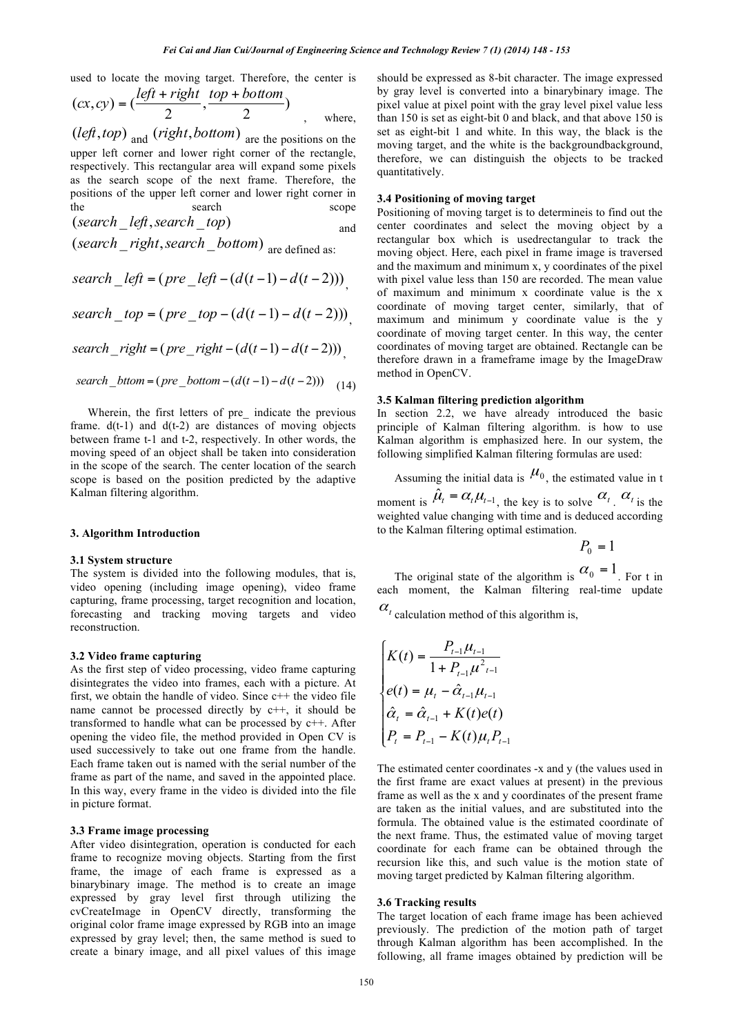used to locate the moving target. Therefore, the center is

$$
(cx, cy) = \left(\frac{left + right}{2}, \frac{top + bottom}{2}\right)
$$
  
where,

(*left*,*top*) and (*right*,*bottom*) are the positions on the upper left corner and lower right corner of the rectangle, respectively. This rectangular area will expand some pixels as the search scope of the next frame. Therefore, the positions of the upper left corner and lower right corner in the search scope scope (*search* \_ *left*,*search* \_ *top*) and

$$
\begin{array}{c}\n\hline\n\end{array}
$$

(*search* \_ *right*,*search* \_ *bottom*) are defined as:

$$
search\_left = (pre\_left - (d(t-1) - d(t-2)))
$$

 $search\_top = (pre\_top - (d(t-1) - d(t-2)))$ 

$$
search\_right = (pre\_right - (d(t-1) - d(t-2)))
$$

$$
search\_bttom = (pre\_bottom - (d(t-1) - d(t-2)))
$$
 (14)

Wherein, the first letters of pre\_ indicate the previous frame.  $d(t-1)$  and  $d(t-2)$  are distances of moving objects between frame t-1 and t-2, respectively. In other words, the moving speed of an object shall be taken into consideration in the scope of the search. The center location of the search scope is based on the position predicted by the adaptive Kalman filtering algorithm.

### **3. Algorithm Introduction**

### **3.1 System structure**

The system is divided into the following modules, that is, video opening (including image opening), video frame capturing, frame processing, target recognition and location, forecasting and tracking moving targets and video reconstruction.

## **3.2 Video frame capturing**

As the first step of video processing, video frame capturing disintegrates the video into frames, each with a picture. At first, we obtain the handle of video. Since  $c++$  the video file name cannot be processed directly by c++, it should be transformed to handle what can be processed by c++. After opening the video file, the method provided in Open CV is used successively to take out one frame from the handle. Each frame taken out is named with the serial number of the frame as part of the name, and saved in the appointed place. In this way, every frame in the video is divided into the file in picture format.

### **3.3 Frame image processing**

After video disintegration, operation is conducted for each frame to recognize moving objects. Starting from the first frame, the image of each frame is expressed as a binarybinary image. The method is to create an image expressed by gray level first through utilizing the cvCreateImage in OpenCV directly, transforming the original color frame image expressed by RGB into an image expressed by gray level; then, the same method is sued to create a binary image, and all pixel values of this image

should be expressed as 8-bit character. The image expressed by gray level is converted into a binarybinary image. The pixel value at pixel point with the gray level pixel value less than 150 is set as eight-bit 0 and black, and that above 150 is set as eight-bit 1 and white. In this way, the black is the moving target, and the white is the backgroundbackground. therefore, we can distinguish the objects to be tracked quantitatively.

## **3.4 Positioning of moving target**

Positioning of moving target is to determineis to find out the center coordinates and select the moving object by a rectangular box which is usedrectangular to track the moving object. Here, each pixel in frame image is traversed and the maximum and minimum x, y coordinates of the pixel with pixel value less than 150 are recorded. The mean value of maximum and minimum x coordinate value is the x coordinate of moving target center, similarly, that of maximum and minimum y coordinate value is the y coordinate of moving target center. In this way, the center coordinates of moving target are obtained. Rectangle can be therefore drawn in a frameframe image by the ImageDraw method in OpenCV.

## **3.5 Kalman filtering prediction algorithm**

In section 2.2, we have already introduced the basic principle of Kalman filtering algorithm. is how to use Kalman algorithm is emphasized here. In our system, the following simplified Kalman filtering formulas are used:

Assuming the initial data is  $\mu_0$ , the estimated value in t moment is  $\hat{\mu}_t = \alpha_t \mu_{t-1}$ , the key is to solve  $\alpha_t$ .  $\alpha_t$  is the weighted value changing with time and is deduced according to the Kalman filtering optimal estimation.

$$
P_{0}=1
$$

The original state of the algorithm is  $\alpha_0 = 1$ . For t in each moment, the Kalman filtering real-time update

 $\alpha_t$  calculation method of this algorithm is,

$$
\begin{cases}\nK(t) = \frac{P_{t-1}\mu_{t-1}}{1 + P_{t-1}\mu_{t-1}^2} \\
e(t) = \mu_t - \hat{\alpha}_{t-1}\mu_{t-1} \\
\hat{\alpha}_t = \hat{\alpha}_{t-1} + K(t)e(t) \\
P_t = P_{t-1} - K(t)\mu_t P_{t-1}\n\end{cases}
$$

The estimated center coordinates -x and y (the values used in the first frame are exact values at present) in the previous frame as well as the x and y coordinates of the present frame are taken as the initial values, and are substituted into the formula. The obtained value is the estimated coordinate of the next frame. Thus, the estimated value of moving target coordinate for each frame can be obtained through the recursion like this, and such value is the motion state of moving target predicted by Kalman filtering algorithm.

#### **3.6 Tracking results**

The target location of each frame image has been achieved previously. The prediction of the motion path of target through Kalman algorithm has been accomplished. In the following, all frame images obtained by prediction will be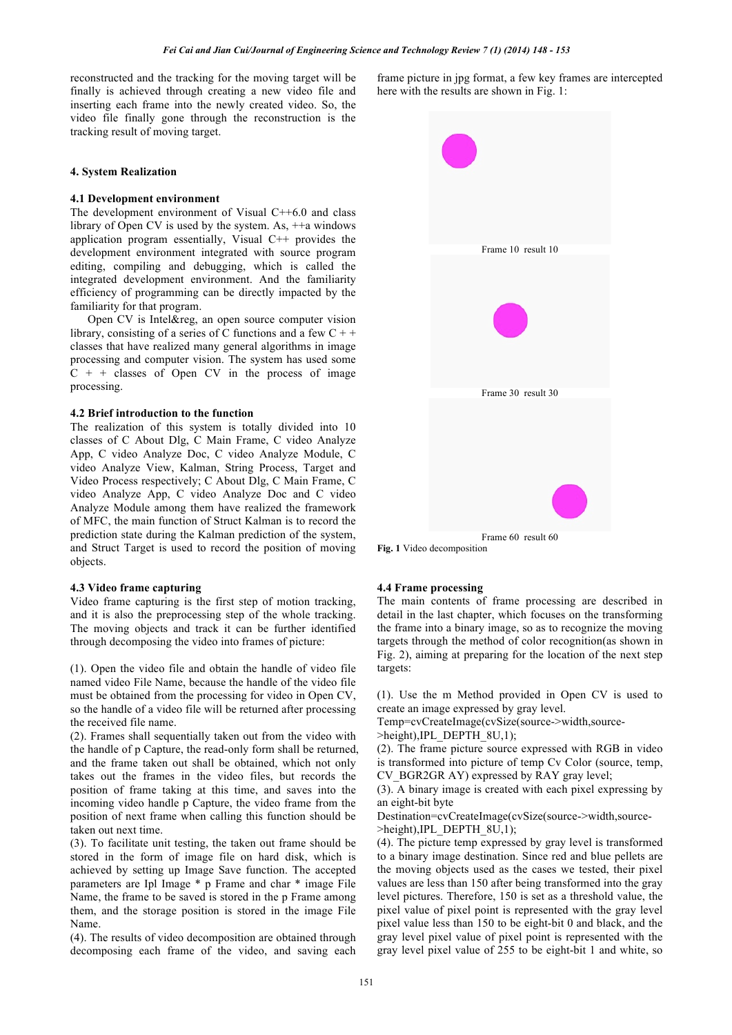reconstructed and the tracking for the moving target will be finally is achieved through creating a new video file and inserting each frame into the newly created video. So, the video file finally gone through the reconstruction is the tracking result of moving target.

## **4. System Realization**

#### **4.1 Development environment**

The development environment of Visual C++6.0 and class library of Open CV is used by the system. As, ++a windows application program essentially, Visual C++ provides the development environment integrated with source program editing, compiling and debugging, which is called the integrated development environment. And the familiarity efficiency of programming can be directly impacted by the familiarity for that program.

Open CV is Intel&reg, an open source computer vision library, consisting of a series of C functions and a few  $C + +$ classes that have realized many general algorithms in image processing and computer vision. The system has used some  $C + +$  classes of Open CV in the process of image processing.

## **4.2 Brief introduction to the function**

The realization of this system is totally divided into 10 classes of C About Dlg, C Main Frame, C video Analyze App, C video Analyze Doc, C video Analyze Module, C video Analyze View, Kalman, String Process, Target and Video Process respectively; C About Dlg, C Main Frame, C video Analyze App, C video Analyze Doc and C video Analyze Module among them have realized the framework of MFC, the main function of Struct Kalman is to record the prediction state during the Kalman prediction of the system, and Struct Target is used to record the position of moving objects.

#### **4.3 Video frame capturing**

Video frame capturing is the first step of motion tracking, and it is also the preprocessing step of the whole tracking. The moving objects and track it can be further identified through decomposing the video into frames of picture:

(1). Open the video file and obtain the handle of video file named video File Name, because the handle of the video file must be obtained from the processing for video in Open CV, so the handle of a video file will be returned after processing the received file name.

(2). Frames shall sequentially taken out from the video with the handle of p Capture, the read-only form shall be returned, and the frame taken out shall be obtained, which not only takes out the frames in the video files, but records the position of frame taking at this time, and saves into the incoming video handle p Capture, the video frame from the position of next frame when calling this function should be taken out next time.

(3). To facilitate unit testing, the taken out frame should be stored in the form of image file on hard disk, which is achieved by setting up Image Save function. The accepted parameters are Ipl Image \* p Frame and char \* image File Name, the frame to be saved is stored in the p Frame among them, and the storage position is stored in the image File Name.

(4). The results of video decomposition are obtained through decomposing each frame of the video, and saving each

frame picture in jpg format, a few key frames are intercepted here with the results are shown in Fig. 1:



**Fig. 1** Video decomposition

#### **4.4 Frame processing**

The main contents of frame processing are described in detail in the last chapter, which focuses on the transforming the frame into a binary image, so as to recognize the moving targets through the method of color recognition(as shown in Fig. 2), aiming at preparing for the location of the next step targets:

(1). Use the m Method provided in Open CV is used to create an image expressed by gray level.

Temp=cvCreateImage(cvSize(source->width,source-

 $\geq$ height),IPL\_DEPTH\_8U,1);

(2). The frame picture source expressed with RGB in video is transformed into picture of temp Cv Color (source, temp, CV\_BGR2GR AY) expressed by RAY gray level;

(3). A binary image is created with each pixel expressing by an eight-bit byte

Destination=cvCreateImage(cvSize(source->width,source- >height),IPL\_DEPTH\_8U,1);

(4). The picture temp expressed by gray level is transformed to a binary image destination. Since red and blue pellets are the moving objects used as the cases we tested, their pixel values are less than 150 after being transformed into the gray level pictures. Therefore, 150 is set as a threshold value, the pixel value of pixel point is represented with the gray level pixel value less than 150 to be eight-bit 0 and black, and the gray level pixel value of pixel point is represented with the gray level pixel value of 255 to be eight-bit 1 and white, so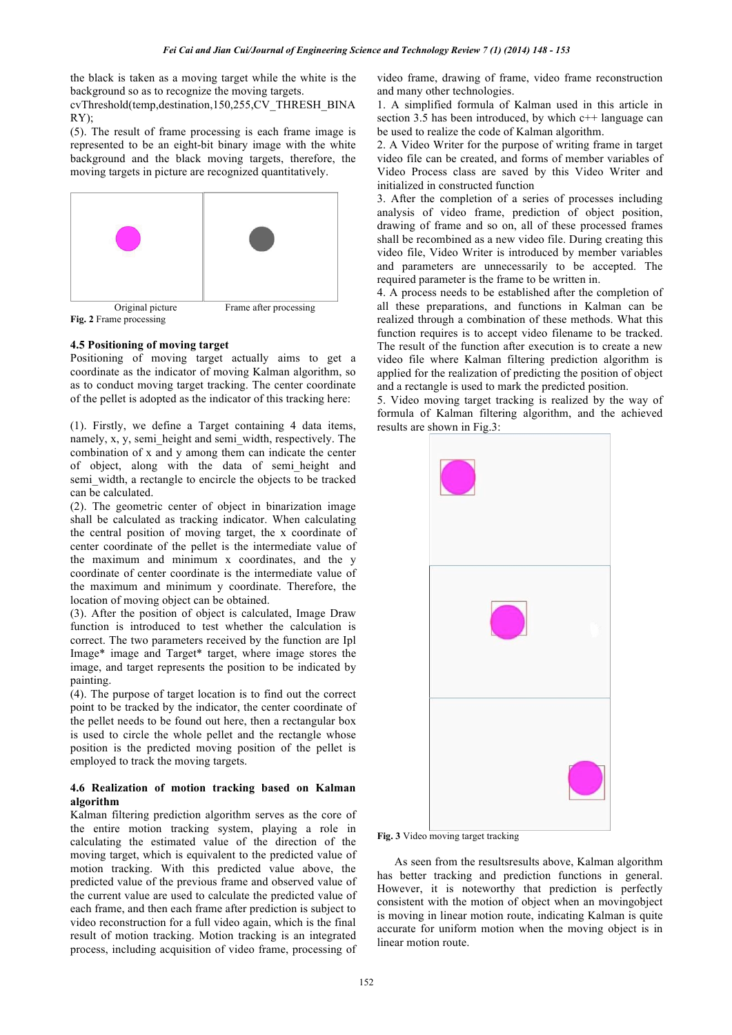the black is taken as a moving target while the white is the background so as to recognize the moving targets.

cvThreshold(temp,destination,150,255,CV\_THRESH\_BINA RY);

(5). The result of frame processing is each frame image is represented to be an eight-bit binary image with the white background and the black moving targets, therefore, the moving targets in picture are recognized quantitatively.



**Fig. 2** Frame processing

## **4.5 Positioning of moving target**

Positioning of moving target actually aims to get a coordinate as the indicator of moving Kalman algorithm, so as to conduct moving target tracking. The center coordinate of the pellet is adopted as the indicator of this tracking here:

(1). Firstly, we define a Target containing 4 data items, namely, x, y, semi\_height and semi\_width, respectively. The combination of x and y among them can indicate the center of object, along with the data of semi\_height and semi\_width, a rectangle to encircle the objects to be tracked can be calculated.

(2). The geometric center of object in binarization image shall be calculated as tracking indicator. When calculating the central position of moving target, the x coordinate of center coordinate of the pellet is the intermediate value of the maximum and minimum x coordinates, and the y coordinate of center coordinate is the intermediate value of the maximum and minimum y coordinate. Therefore, the location of moving object can be obtained.

(3). After the position of object is calculated, Image Draw function is introduced to test whether the calculation is correct. The two parameters received by the function are Ipl Image\* image and Target\* target, where image stores the image, and target represents the position to be indicated by painting.

(4). The purpose of target location is to find out the correct point to be tracked by the indicator, the center coordinate of the pellet needs to be found out here, then a rectangular box is used to circle the whole pellet and the rectangle whose position is the predicted moving position of the pellet is employed to track the moving targets.

## **4.6 Realization of motion tracking based on Kalman algorithm**

Kalman filtering prediction algorithm serves as the core of the entire motion tracking system, playing a role in calculating the estimated value of the direction of the moving target, which is equivalent to the predicted value of motion tracking. With this predicted value above, the predicted value of the previous frame and observed value of the current value are used to calculate the predicted value of each frame, and then each frame after prediction is subject to video reconstruction for a full video again, which is the final result of motion tracking. Motion tracking is an integrated process, including acquisition of video frame, processing of video frame, drawing of frame, video frame reconstruction and many other technologies.

1. A simplified formula of Kalman used in this article in section  $3.\overline{5}$  has been introduced, by which  $c++$  language can be used to realize the code of Kalman algorithm.

2. A Video Writer for the purpose of writing frame in target video file can be created, and forms of member variables of Video Process class are saved by this Video Writer and initialized in constructed function

3. After the completion of a series of processes including analysis of video frame, prediction of object position, drawing of frame and so on, all of these processed frames shall be recombined as a new video file. During creating this video file, Video Writer is introduced by member variables and parameters are unnecessarily to be accepted. The required parameter is the frame to be written in.

4. A process needs to be established after the completion of all these preparations, and functions in Kalman can be realized through a combination of these methods. What this function requires is to accept video filename to be tracked. The result of the function after execution is to create a new video file where Kalman filtering prediction algorithm is applied for the realization of predicting the position of object and a rectangle is used to mark the predicted position.

5. Video moving target tracking is realized by the way of formula of Kalman filtering algorithm, and the achieved results are shown in Fig.3:



**Fig. 3** Video moving target tracking

As seen from the resultsresults above, Kalman algorithm has better tracking and prediction functions in general. However, it is noteworthy that prediction is perfectly consistent with the motion of object when an movingobject is moving in linear motion route, indicating Kalman is quite accurate for uniform motion when the moving object is in linear motion route.